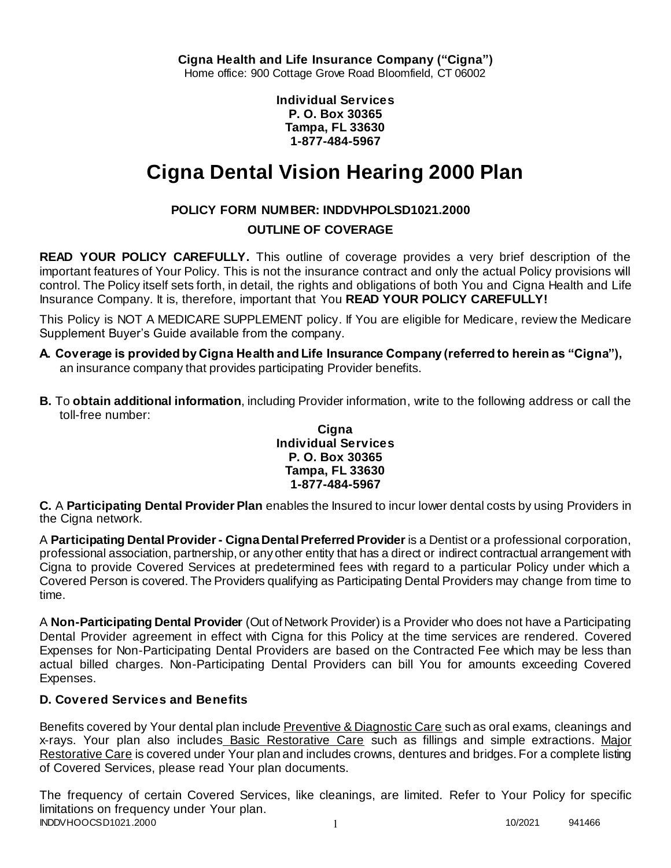**Individual Services P. O. Box 30365 Tampa, FL 33630 1-877-484-5967**

# **Cigna Dental Vision Hearing 2000 Plan**

# **POLICY FORM NUMBER: INDDVHPOLSD1021.2000**

# **OUTLINE OF COVERAGE**

**READ YOUR POLICY CAREFULLY.** This outline of coverage provides a very brief description of the important features of Your Policy. This is not the insurance contract and only the actual Policy provisions will control. The Policy itself sets forth, in detail, the rights and obligations of both You and Cigna Health and Life Insurance Company. It is, therefore, important that You **READ YOUR POLICY CAREFULLY!** 

This Policy is NOT A MEDICARE SUPPLEMENT policy. If You are eligible for Medicare, review the Medicare Supplement Buyer's Guide available from the company.

- **A. Coverage is provided by Cigna Health and Life Insurance Company (referred to herein as "Cigna"),**  an insurance company that provides participating Provider benefits.
- **B.** To **obtain additional information**, including Provider information, write to the following address or call the toll-free number:

### **Cigna Individual Services P. O. Box 30365 Tampa, FL 33630 1-877-484-5967**

**C.** A **Participating Dental Provider Plan** enables the Insured to incur lower dental costs by using Providers in the Cigna network.

A **Participating Dental Provider - Cigna Dental Preferred Provider** is a Dentist or a professional corporation, professional association, partnership, or any other entity that has a direct or indirect contractual arrangement with Cigna to provide Covered Services at predetermined fees with regard to a particular Policy under which a Covered Person is covered. The Providers qualifying as Participating Dental Providers may change from time to time.

A **Non-Participating Dental Provider** (Out of Network Provider) is a Provider who does not have a Participating Dental Provider agreement in effect with Cigna for this Policy at the time services are rendered. Covered Expenses for Non-Participating Dental Providers are based on the Contracted Fee which may be less than actual billed charges. Non-Participating Dental Providers can bill You for amounts exceeding Covered Expenses.

# **D. Covered Services and Benefits**

Benefits covered by Your dental plan include Preventive & Diagnostic Care such as oral exams, cleanings and x-rays. Your plan also includes Basic Restorative Care such as fillings and simple extractions. Major Restorative Care is covered under Your plan and includes crowns, dentures and bridges. For a complete listing of Covered Services, please read Your plan documents.

INDDVHOOCSD1021.2000 1 10/2021 941466 The frequency of certain Covered Services, like cleanings, are limited. Refer to Your Policy for specific limitations on frequency under Your plan.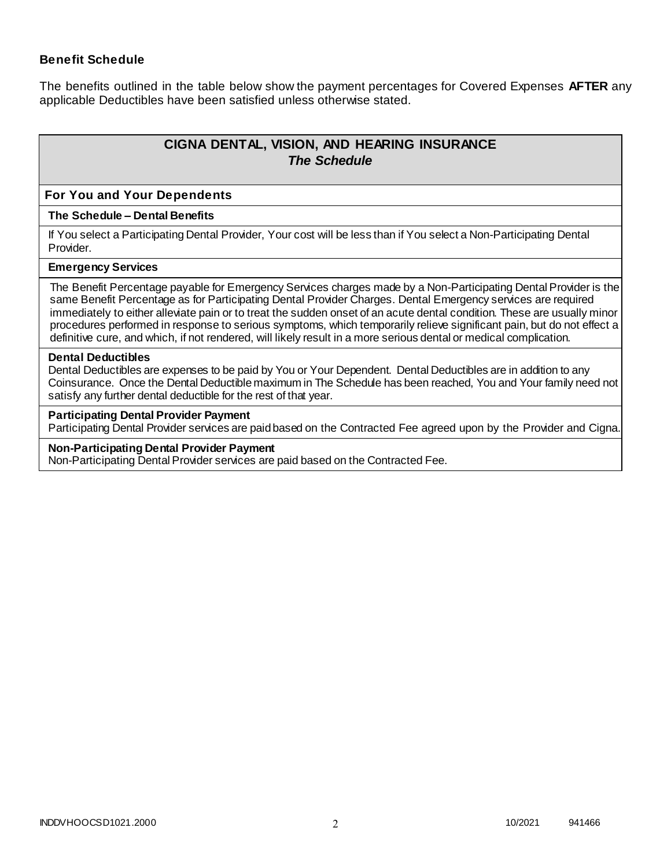### **Benefit Schedule**

The benefits outlined in the table below show the payment percentages for Covered Expenses **AFTER** any applicable Deductibles have been satisfied unless otherwise stated.

# **CIGNA DENTAL, VISION, AND HEARING INSURANCE** *The Schedule*

#### **For You and Your Dependents**

#### **The Schedule – Dental Benefits**

If You select a Participating Dental Provider, Your cost will be less than if You select a Non-Participating Dental Provider.

#### **Emergency Services**

The Benefit Percentage payable for Emergency Services charges made by a Non-Participating Dental Provider is the same Benefit Percentage as for Participating Dental Provider Charges. Dental Emergency services are required immediately to either alleviate pain or to treat the sudden onset of an acute dental condition. These are usually minor procedures performed in response to serious symptoms, which temporarily relieve significant pain, but do not effect a definitive cure, and which, if not rendered, will likely result in a more serious dental or medical complication.

#### **Dental Deductibles**

Dental Deductibles are expenses to be paid by You or Your Dependent. Dental Deductibles are in addition to any Coinsurance. Once the Dental Deductible maximum in The Schedule has been reached, You and Your family need not satisfy any further dental deductible for the rest of that year.

#### **Participating Dental Provider Payment**

Participating Dental Provider services are paid based on the Contracted Fee agreed upon by the Provider and Cigna.

#### **Non-Participating Dental Provider Payment**

Non-Participating Dental Provider services are paid based on the Contracted Fee.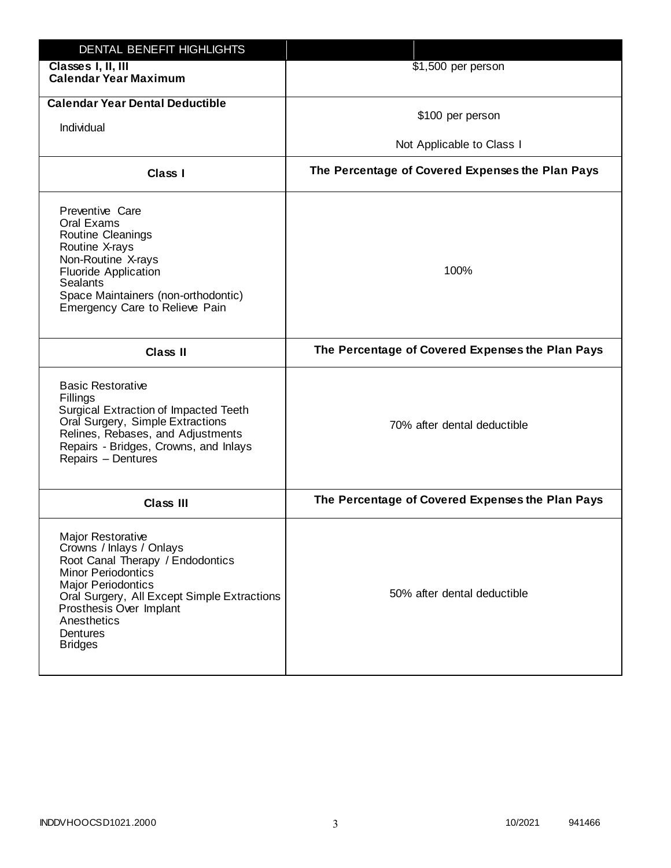| DENTAL BENEFIT HIGHLIGHTS                                                                                                                                                                                                                                                 |                                                  |
|---------------------------------------------------------------------------------------------------------------------------------------------------------------------------------------------------------------------------------------------------------------------------|--------------------------------------------------|
| Classes I, II, III<br><b>Calendar Year Maximum</b>                                                                                                                                                                                                                        | \$1,500 per person                               |
| <b>Calendar Year Dental Deductible</b><br>Individual                                                                                                                                                                                                                      | \$100 per person                                 |
|                                                                                                                                                                                                                                                                           | Not Applicable to Class I                        |
| Class I                                                                                                                                                                                                                                                                   | The Percentage of Covered Expenses the Plan Pays |
| Preventive Care<br>Oral Exams<br>Routine Cleanings<br>Routine X-rays<br>Non-Routine X-rays<br><b>Fluoride Application</b><br><b>Sealants</b><br>Space Maintainers (non-orthodontic)<br>Emergency Care to Relieve Pain                                                     | 100%                                             |
| <b>Class II</b>                                                                                                                                                                                                                                                           | The Percentage of Covered Expenses the Plan Pays |
| <b>Basic Restorative</b><br>Fillings<br>Surgical Extraction of Impacted Teeth<br>Oral Surgery, Simple Extractions<br>Relines, Rebases, and Adjustments<br>Repairs - Bridges, Crowns, and Inlays<br>Repairs - Dentures                                                     | 70% after dental deductible                      |
| <b>Class III</b>                                                                                                                                                                                                                                                          | The Percentage of Covered Expenses the Plan Pays |
| <b>Major Restorative</b><br>Crowns / Inlays / Onlays<br>Root Canal Therapy / Endodontics<br><b>Minor Periodontics</b><br><b>Major Periodontics</b><br>Oral Surgery, All Except Simple Extractions<br>Prosthesis Over Implant<br>Anesthetics<br>Dentures<br><b>Bridges</b> | 50% after dental deductible                      |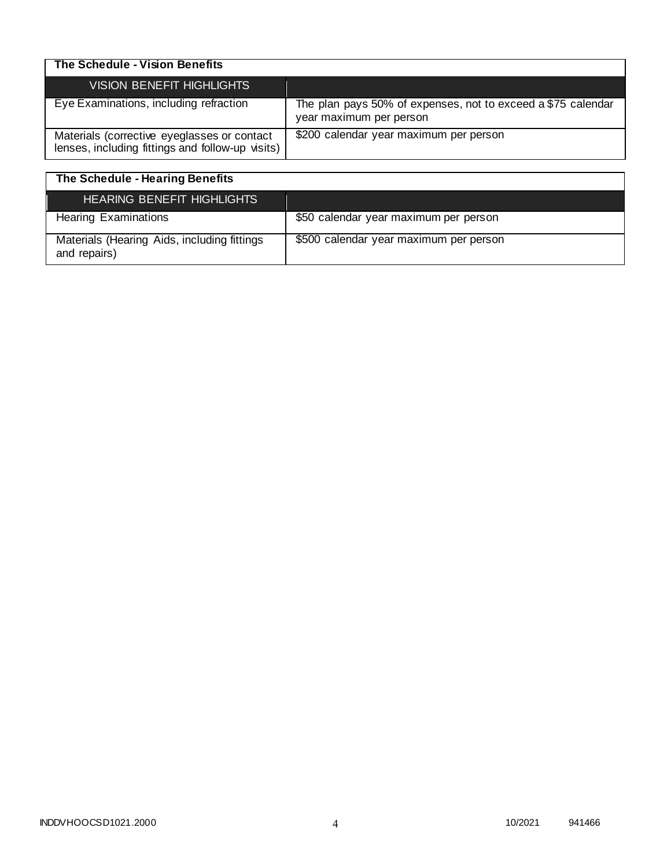| The Schedule - Vision Benefits                                                                  |                                                                                         |
|-------------------------------------------------------------------------------------------------|-----------------------------------------------------------------------------------------|
| VISION BENEFIT HIGHLIGHTS                                                                       |                                                                                         |
| Eye Examinations, including refraction                                                          | The plan pays 50% of expenses, not to exceed a \$75 calendar<br>year maximum per person |
| Materials (corrective eyeglasses or contact<br>lenses, including fittings and follow-up visits) | \$200 calendar year maximum per person                                                  |

| The Schedule - Hearing Benefits                             |                                        |
|-------------------------------------------------------------|----------------------------------------|
| <b>HEARING BENEFIT HIGHLIGHTS</b>                           |                                        |
| <b>Hearing Examinations</b>                                 | \$50 calendar year maximum per person  |
| Materials (Hearing Aids, including fittings<br>and repairs) | \$500 calendar year maximum per person |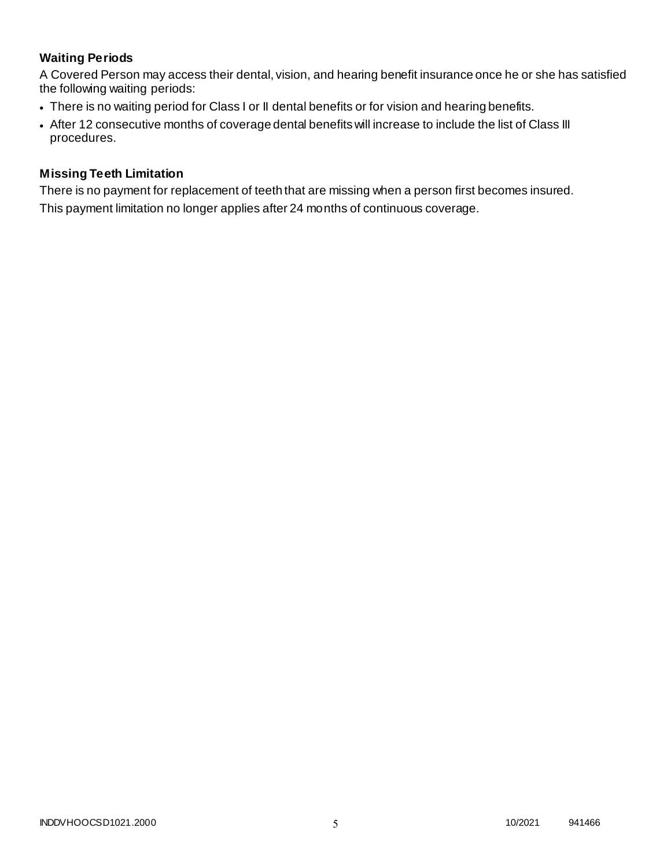# **Waiting Periods**

A Covered Person may access their dental, vision, and hearing benefit insurance once he or she has satisfied the following waiting periods:

- There is no waiting period for Class I or II dental benefits or for vision and hearing benefits.
- After 12 consecutive months of coverage dental benefits will increase to include the list of Class III procedures.

### **Missing Teeth Limitation**

There is no payment for replacement of teeth that are missing when a person first becomes insured. This payment limitation no longer applies after 24 months of continuous coverage.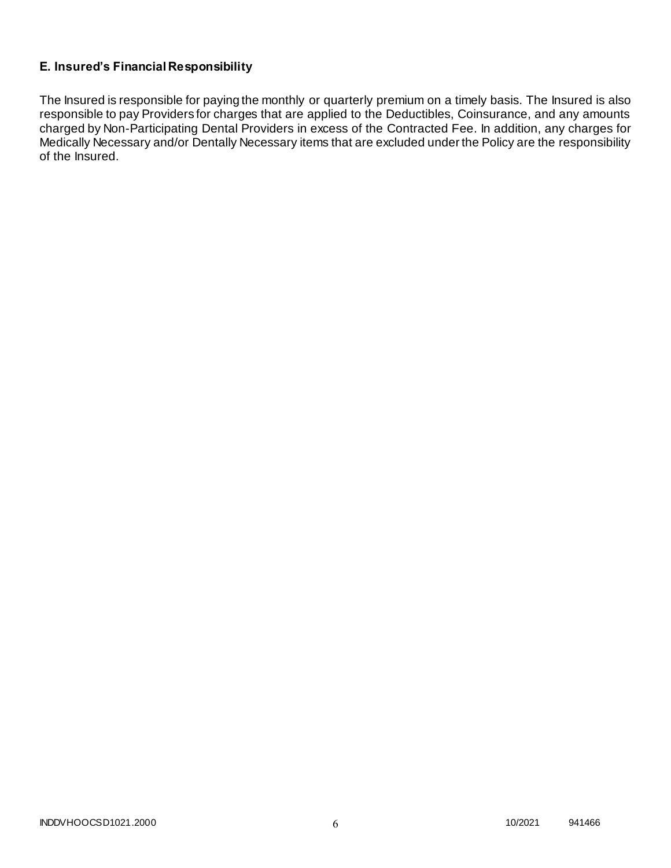# **E. Insured's Financial Responsibility**

The Insured is responsible for paying the monthly or quarterly premium on a timely basis. The Insured is also responsible to pay Providers for charges that are applied to the Deductibles, Coinsurance, and any amounts charged by Non-Participating Dental Providers in excess of the Contracted Fee. In addition, any charges for Medically Necessary and/or Dentally Necessary items that are excluded under the Policy are the responsibility of the Insured.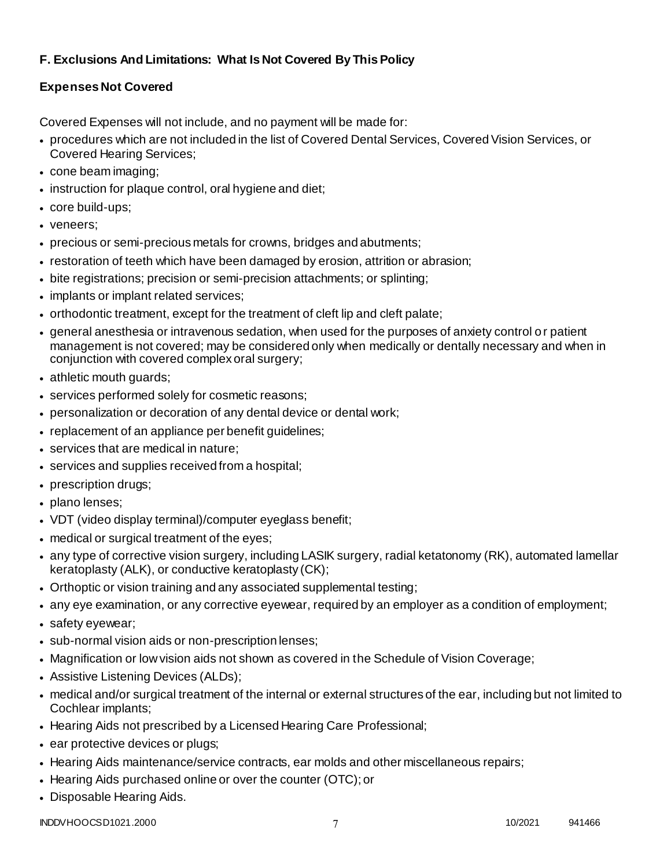# **F. Exclusions And Limitations: What Is Not Covered By This Policy**

# **Expenses Not Covered**

Covered Expenses will not include, and no payment will be made for:

- procedures which are not included in the list of Covered Dental Services, Covered Vision Services, or Covered Hearing Services;
- cone beam imaging;
- instruction for plaque control, oral hygiene and diet;
- core build-ups;
- veneers;
- precious or semi-precious metals for crowns, bridges and abutments;
- restoration of teeth which have been damaged by erosion, attrition or abrasion;
- bite registrations; precision or semi-precision attachments; or splinting;
- implants or implant related services;
- orthodontic treatment, except for the treatment of cleft lip and cleft palate;
- general anesthesia or intravenous sedation, when used for the purposes of anxiety control o r patient management is not covered; may be considered only when medically or dentally necessary and when in conjunction with covered complex oral surgery;
- athletic mouth guards;
- services performed solely for cosmetic reasons;
- personalization or decoration of any dental device or dental work;
- replacement of an appliance per benefit guidelines;
- services that are medical in nature:
- services and supplies received from a hospital;
- prescription drugs;
- plano lenses:
- VDT (video display terminal)/computer eyeglass benefit;
- medical or surgical treatment of the eyes;
- any type of corrective vision surgery, including LASIK surgery, radial ketatonomy (RK), automated lamellar keratoplasty (ALK), or conductive keratoplasty (CK);
- Orthoptic or vision training and any associated supplemental testing;
- any eye examination, or any corrective eyewear, required by an employer as a condition of employment;
- safety eyewear;
- sub-normal vision aids or non-prescription lenses;
- Magnification or low vision aids not shown as covered in the Schedule of Vision Coverage;
- Assistive Listening Devices (ALDs);
- medical and/or surgical treatment of the internal or external structures of the ear, including but not limited to Cochlear implants;
- Hearing Aids not prescribed by a Licensed Hearing Care Professional;
- ear protective devices or plugs;
- Hearing Aids maintenance/service contracts, ear molds and other miscellaneous repairs;
- Hearing Aids purchased online or over the counter (OTC); or
- Disposable Hearing Aids.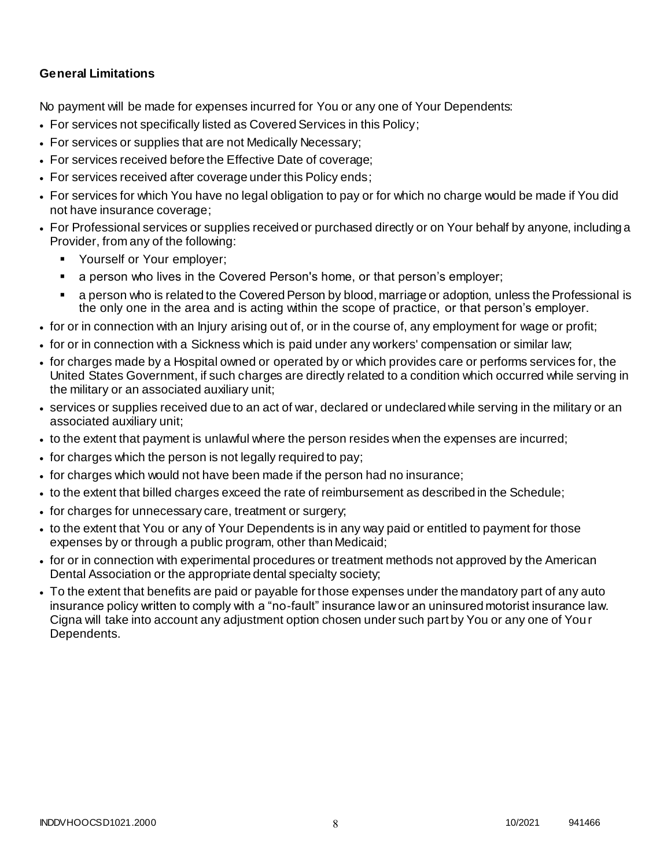### **General Limitations**

No payment will be made for expenses incurred for You or any one of Your Dependents:

- For services not specifically listed as Covered Services in this Policy;
- For services or supplies that are not Medically Necessary;
- For services received before the Effective Date of coverage;
- For services received after coverage under this Policy ends;
- For services for which You have no legal obligation to pay or for which no charge would be made if You did not have insurance coverage;
- For Professional services or supplies received or purchased directly or on Your behalf by anyone, including a Provider, from any of the following:
	- **Yourself or Your employer;**
	- a person who lives in the Covered Person's home, or that person's employer;
	- a person who is related to the Covered Person by blood, marriage or adoption, unless the Professional is the only one in the area and is acting within the scope of practice, or that person's employer.
- for or in connection with an Injury arising out of, or in the course of, any employment for wage or profit;
- for or in connection with a Sickness which is paid under any workers' compensation or similar law;
- for charges made by a Hospital owned or operated by or which provides care or performs services for, the United States Government, if such charges are directly related to a condition which occurred while serving in the military or an associated auxiliary unit;
- services or supplies received due to an act of war, declared or undeclared while serving in the military or an associated auxiliary unit;
- to the extent that payment is unlawful where the person resides when the expenses are incurred;
- for charges which the person is not legally required to pay;
- for charges which would not have been made if the person had no insurance;
- to the extent that billed charges exceed the rate of reimbursement as described in the Schedule;
- for charges for unnecessary care, treatment or surgery;
- to the extent that You or any of Your Dependents is in any way paid or entitled to payment for those expenses by or through a public program, other than Medicaid;
- for or in connection with experimental procedures or treatment methods not approved by the American Dental Association or the appropriate dental specialty society;
- To the extent that benefits are paid or payable for those expenses under the mandatory part of any auto insurance policy written to comply with a "no-fault" insurance law or an uninsured motorist insurance law. Cigna will take into account any adjustment option chosen under such part by You or any one of You r Dependents.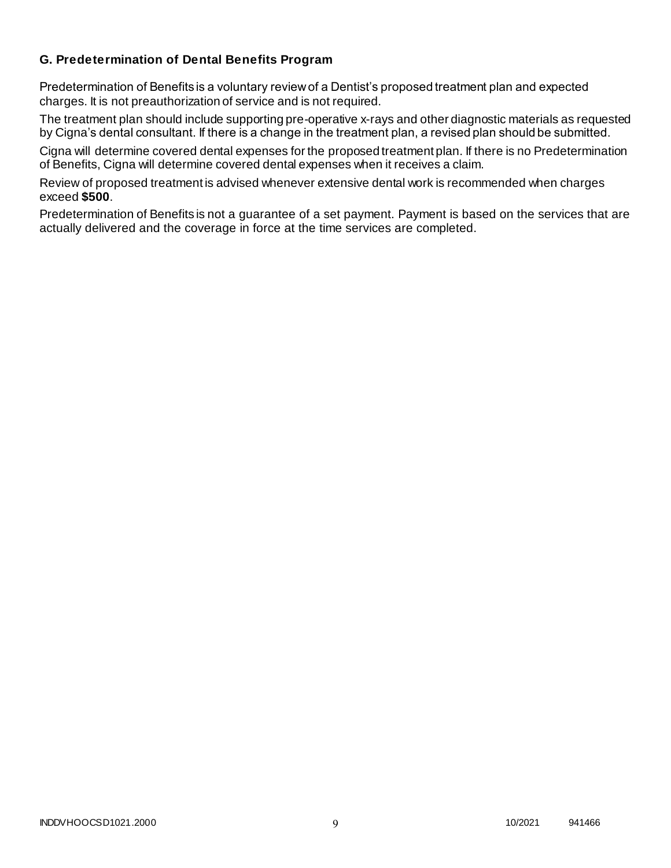### **G. Predetermination of Dental Benefits Program**

Predetermination of Benefits is a voluntary review of a Dentist's proposed treatment plan and expected charges. It is not preauthorization of service and is not required.

The treatment plan should include supporting pre-operative x-rays and other diagnostic materials as requested by Cigna's dental consultant. If there is a change in the treatment plan, a revised plan should be submitted.

Cigna will determine covered dental expenses for the proposed treatment plan. If there is no Predetermination of Benefits, Cigna will determine covered dental expenses when it receives a claim.

Review of proposed treatment is advised whenever extensive dental work is recommended when charges exceed **\$500**.

Predetermination of Benefits is not a guarantee of a set payment. Payment is based on the services that are actually delivered and the coverage in force at the time services are completed.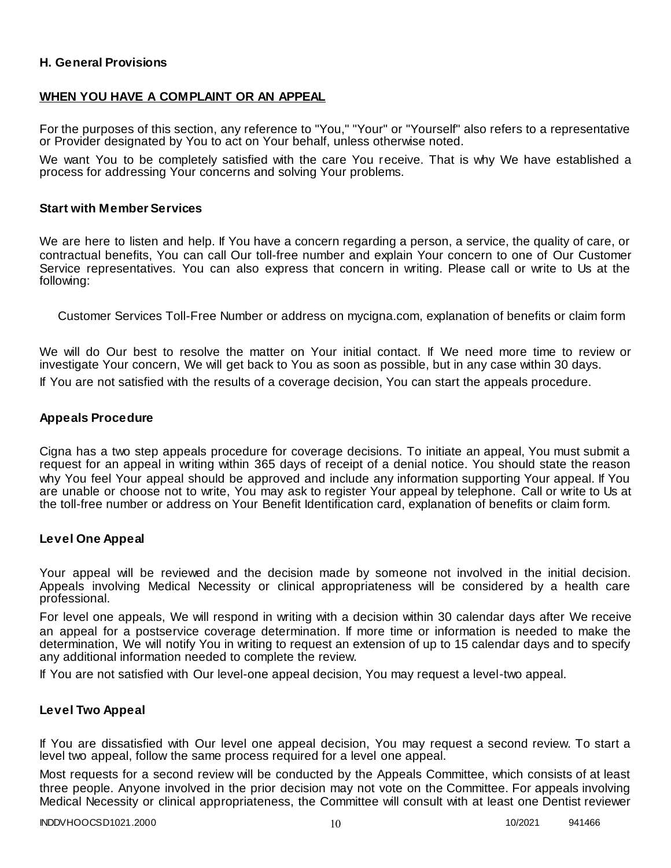### **H. General Provisions**

### **WHEN YOU HAVE A COMPLAINT OR AN APPEAL**

For the purposes of this section, any reference to "You," "Your" or "Yourself" also refers to a representative or Provider designated by You to act on Your behalf, unless otherwise noted.

We want You to be completely satisfied with the care You receive. That is why We have established a process for addressing Your concerns and solving Your problems.

### **Start with Member Services**

We are here to listen and help. If You have a concern regarding a person, a service, the quality of care, or contractual benefits, You can call Our toll-free number and explain Your concern to one of Our Customer Service representatives. You can also express that concern in writing. Please call or write to Us at the following:

Customer Services Toll-Free Number or address on mycigna.com, explanation of benefits or claim form

We will do Our best to resolve the matter on Your initial contact. If We need more time to review or investigate Your concern, We will get back to You as soon as possible, but in any case within 30 days.

If You are not satisfied with the results of a coverage decision, You can start the appeals procedure.

### **Appeals Procedure**

Cigna has a two step appeals procedure for coverage decisions. To initiate an appeal, You must submit a request for an appeal in writing within 365 days of receipt of a denial notice. You should state the reason why You feel Your appeal should be approved and include any information supporting Your appeal. If You are unable or choose not to write, You may ask to register Your appeal by telephone. Call or write to Us at the toll-free number or address on Your Benefit Identification card, explanation of benefits or claim form.

### **Level One Appeal**

Your appeal will be reviewed and the decision made by someone not involved in the initial decision. Appeals involving Medical Necessity or clinical appropriateness will be considered by a health care professional.

For level one appeals, We will respond in writing with a decision within 30 calendar days after We receive an appeal for a postservice coverage determination. If more time or information is needed to make the determination, We will notify You in writing to request an extension of up to 15 calendar days and to specify any additional information needed to complete the review.

If You are not satisfied with Our level-one appeal decision, You may request a level-two appeal.

### **Level Two Appeal**

If You are dissatisfied with Our level one appeal decision, You may request a second review. To start a level two appeal, follow the same process required for a level one appeal.

Most requests for a second review will be conducted by the Appeals Committee, which consists of at least three people. Anyone involved in the prior decision may not vote on the Committee. For appeals involving Medical Necessity or clinical appropriateness, the Committee will consult with at least one Dentist reviewer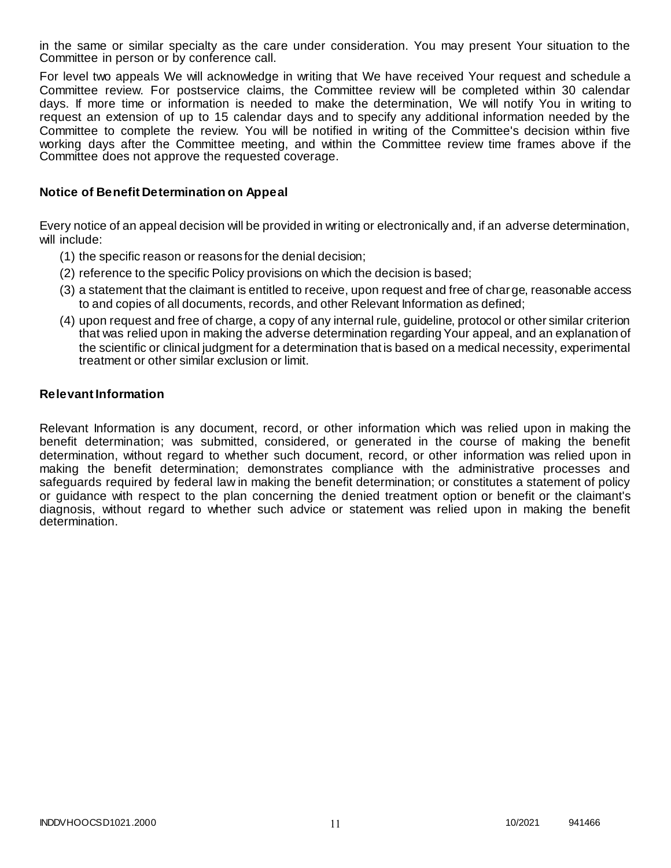in the same or similar specialty as the care under consideration. You may present Your situation to the Committee in person or by conference call.

For level two appeals We will acknowledge in writing that We have received Your request and schedule a Committee review. For postservice claims, the Committee review will be completed within 30 calendar days. If more time or information is needed to make the determination, We will notify You in writing to request an extension of up to 15 calendar days and to specify any additional information needed by the Committee to complete the review. You will be notified in writing of the Committee's decision within five working days after the Committee meeting, and within the Committee review time frames above if the Committee does not approve the requested coverage.

### **Notice of Benefit Determination on Appeal**

Every notice of an appeal decision will be provided in writing or electronically and, if an adverse determination, will include:

- (1) the specific reason or reasons for the denial decision;
- (2) reference to the specific Policy provisions on which the decision is based;
- (3) a statement that the claimant is entitled to receive, upon request and free of charge, reasonable access to and copies of all documents, records, and other Relevant Information as defined;
- (4) upon request and free of charge, a copy of any internal rule, guideline, protocol or other similar criterion that was relied upon in making the adverse determination regarding Your appeal, and an explanation of the scientific or clinical judgment for a determination that is based on a medical necessity, experimental treatment or other similar exclusion or limit.

### **Relevant Information**

Relevant Information is any document, record, or other information which was relied upon in making the benefit determination; was submitted, considered, or generated in the course of making the benefit determination, without regard to whether such document, record, or other information was relied upon in making the benefit determination; demonstrates compliance with the administrative processes and safeguards required by federal law in making the benefit determination; or constitutes a statement of policy or guidance with respect to the plan concerning the denied treatment option or benefit or the claimant's diagnosis, without regard to whether such advice or statement was relied upon in making the benefit determination.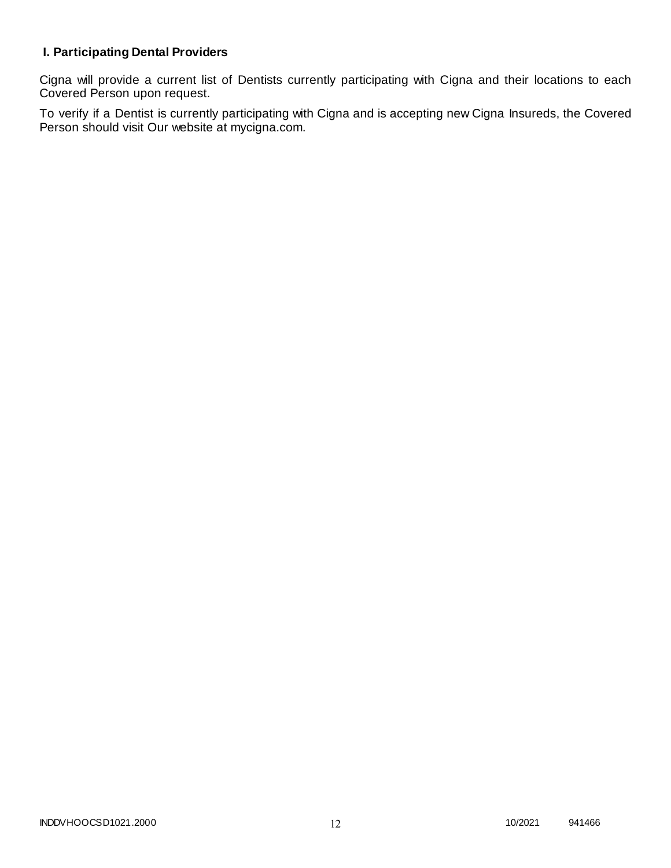# **I. Participating Dental Providers**

Cigna will provide a current list of Dentists currently participating with Cigna and their locations to each Covered Person upon request.

To verify if a Dentist is currently participating with Cigna and is accepting new Cigna Insureds, the Covered Person should visit Our website at mycigna.com.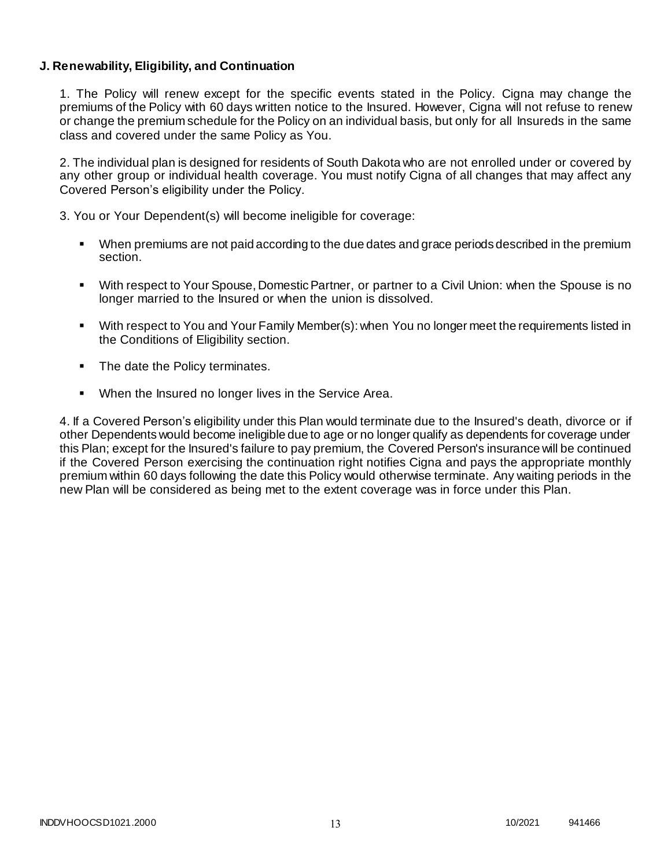### **J. Renewability, Eligibility, and Continuation**

1. The Policy will renew except for the specific events stated in the Policy. Cigna may change the premiums of the Policy with 60 days written notice to the Insured. However, Cigna will not refuse to renew or change the premium schedule for the Policy on an individual basis, but only for all Insureds in the same class and covered under the same Policy as You.

2. The individual plan is designed for residents of South Dakota who are not enrolled under or covered by any other group or individual health coverage. You must notify Cigna of all changes that may affect any Covered Person's eligibility under the Policy.

3. You or Your Dependent(s) will become ineligible for coverage:

- When premiums are not paid according to the due dates and grace periods described in the premium section.
- With respect to Your Spouse, Domestic Partner, or partner to a Civil Union: when the Spouse is no longer married to the Insured or when the union is dissolved.
- With respect to You and Your Family Member(s): when You no longer meet the requirements listed in the Conditions of Eligibility section.
- The date the Policy terminates.
- When the Insured no longer lives in the Service Area.

4. If a Covered Person's eligibility under this Plan would terminate due to the Insured's death, divorce or if other Dependents would become ineligible due to age or no longer qualify as dependents for coverage under this Plan; except for the Insured's failure to pay premium, the Covered Person's insurance will be continued if the Covered Person exercising the continuation right notifies Cigna and pays the appropriate monthly premium within 60 days following the date this Policy would otherwise terminate. Any waiting periods in the new Plan will be considered as being met to the extent coverage was in force under this Plan.